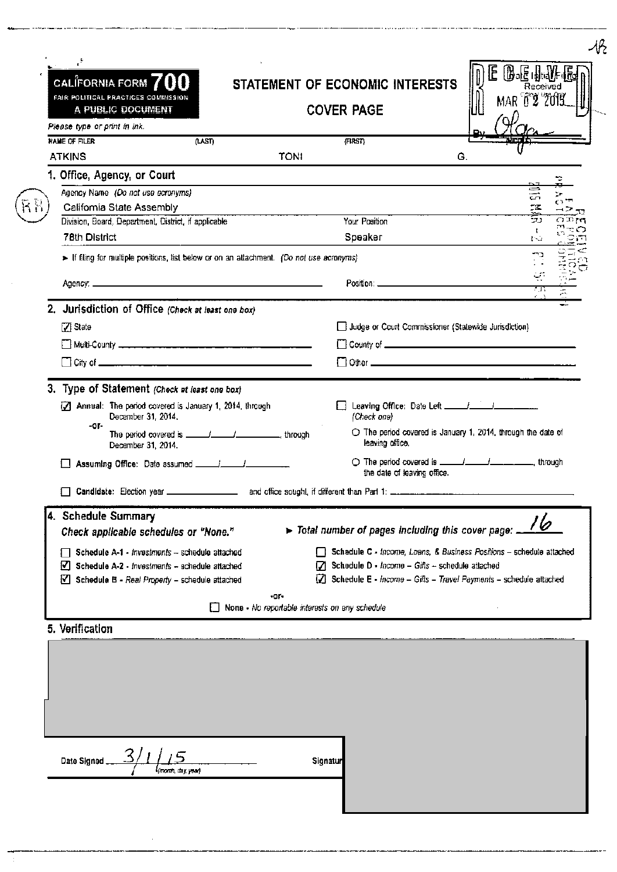| CALIFORNIA FORM $700$<br>FAIR POLITICAL PRACTICES COMMESSION<br>A PUBLIC DOCUMENT<br>Please type or print in Ink.                                                                   | STATEMENT OF ECONOMIC INTERESTS<br><b>COVER PAGE</b>                                      | <b>BE HALF</b><br>IE.<br>Received<br>MAR 02 2013                                                                                                 |
|-------------------------------------------------------------------------------------------------------------------------------------------------------------------------------------|-------------------------------------------------------------------------------------------|--------------------------------------------------------------------------------------------------------------------------------------------------|
| <b>NAME OF FILER</b><br>(LAST)<br><b>ATKINS</b>                                                                                                                                     | (FIRST)<br><b>TONI</b>                                                                    | G.                                                                                                                                               |
| 1. Office, Agency, or Court                                                                                                                                                         |                                                                                           | ⋼                                                                                                                                                |
| Agency Name (Do not use ecronyms)<br>Califomia State Assembly                                                                                                                       |                                                                                           | 듨<br>y.<br>د دی                                                                                                                                  |
| Division, Board, Department, District, if applicable                                                                                                                                | Your Position                                                                             | נכי<br>OEM<br>к.                                                                                                                                 |
| <b>78th District</b>                                                                                                                                                                | Speaker                                                                                   | 150                                                                                                                                              |
|                                                                                                                                                                                     | > If filing for multiple positions, list below or on an attachment. (Do not use acronyms) |                                                                                                                                                  |
| Адепсу: Политика и политика и политика и политика и политика и политика и политика и политика и политика и                                                                          |                                                                                           | أرب                                                                                                                                              |
| 2. Jurisdiction of Office (Check at least one box)                                                                                                                                  |                                                                                           |                                                                                                                                                  |
| Z State                                                                                                                                                                             | Judge or Court Commissioner (Stalewide Jurisdiction)                                      |                                                                                                                                                  |
|                                                                                                                                                                                     |                                                                                           |                                                                                                                                                  |
|                                                                                                                                                                                     |                                                                                           |                                                                                                                                                  |
| December 31, 2014.                                                                                                                                                                  | leaving office.<br>the date of leaving office.                                            | O The period covered is ______/______/_____________________ through                                                                              |
| 4. Schedule Summary                                                                                                                                                                 |                                                                                           |                                                                                                                                                  |
| Check applicable schedules or "None."                                                                                                                                               | > Total number of pages including this cover page:                                        |                                                                                                                                                  |
| Schedule A-1 - Investments -- schedule attached<br>$\blacktriangleright$ Schedule A-2 - Investments - schedule attached<br>$\forall$ Schedule B - Real Property - schedule attached | $[7]$ Schedule D - Income - Gifts - schedule attached                                     | Schedule C - Income, Loans, & Business Positions - schedule attached<br>$\Box$ Schedule E - Income - Gifts - Travel Payments - schedule attached |
|                                                                                                                                                                                     | -or-<br>None - No reportable interests on any schedule                                    |                                                                                                                                                  |
| 5. Verification                                                                                                                                                                     |                                                                                           |                                                                                                                                                  |
|                                                                                                                                                                                     |                                                                                           |                                                                                                                                                  |
|                                                                                                                                                                                     |                                                                                           |                                                                                                                                                  |
|                                                                                                                                                                                     |                                                                                           |                                                                                                                                                  |

 $\mathcal{I}$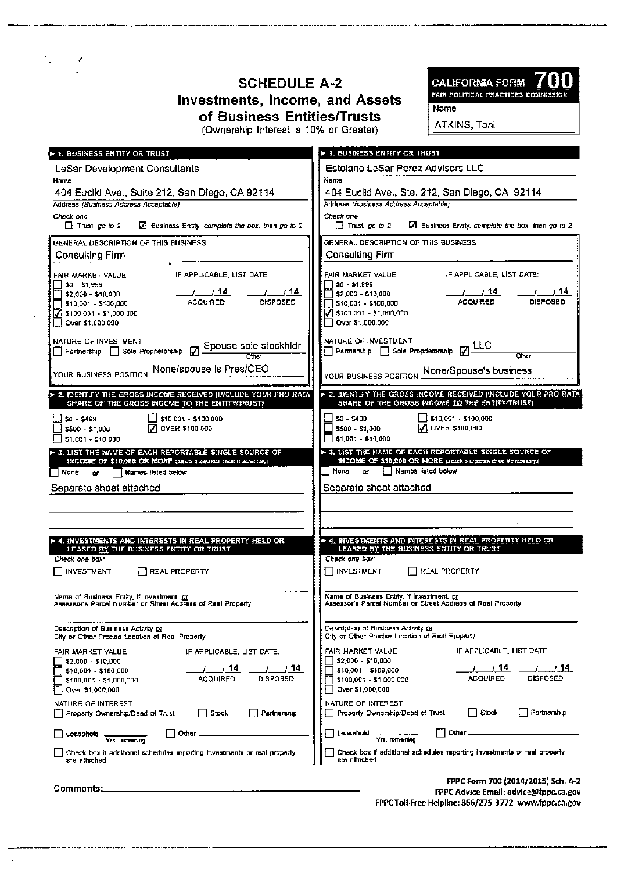#### **SCHEDULE A-2 Investments, Income, and Assets** of Business Entities/Trusts (Ownership Interest is 10% or Greater)

 $\frac{1}{2}$  ,  $\frac{1}{2}$ 



Name

ATKINS, Toni

| ► 1. BUSINESS ENTITY OR TRUST                                                                                    | ► 1. BUSINESS ENTITY OR TRUST                                                                                    |
|------------------------------------------------------------------------------------------------------------------|------------------------------------------------------------------------------------------------------------------|
| LeSar Development Consultants                                                                                    | Estolano LeSar Perez Advisors LLC                                                                                |
| Name                                                                                                             | Nama                                                                                                             |
| 404 Euclid Ave., Suite 212, San Diego, CA 92114<br>Address (Business Address Acceptable)                         | 404 Euclid Ave., Ste. 212, San Diego, CA 92114<br>Address (Business Address Accepteble)                          |
| Check one                                                                                                        | Check one                                                                                                        |
| $\Box$ Trust, go to 2<br>$\Box$ Business Entity, complete the box, then go to 2                                  | $\Box$ Trust, go to 2<br>Business Entity, complete the box, then go to 2                                         |
| GENERAL DESCRIPTION OF THIS BUSINESS                                                                             | GENERAL DESCRIPTION OF THIS BUSINESS                                                                             |
| Consulting Firm                                                                                                  | Consulting Firm                                                                                                  |
| IF APPLICABLE, LIST DATE:<br>FAIR MARKET VALUE                                                                   | IF APPLICABLE, LIST DATE:<br>FAIR MARKET VALUE                                                                   |
| 50 - 51,999<br>i \$2.000 - \$10.000 i                                                                            | $30 - 51,899$<br>3 \$2,000 - \$10,000                                                                            |
| $\frac{1}{\sqrt{11}}$ olsposed<br>__/____/ <b>14</b><br>ACQUIRED<br>510,001 - 5100,000                           | $\frac{1}{\text{ACQUIRED}}$<br><b>DISPOSED</b><br>3 \$10,001 - \$100,000                                         |
| $\sqrt{}3100,001 - 51,000,000$<br>Dover \$1,000,000                                                              | $\sqrt{3}$ \$100,001 - \$1,000,000<br>Over \$1,000,000                                                           |
|                                                                                                                  |                                                                                                                  |
| NATURE OF INVESTMENT<br>NAIDRE OF INVESTMENT<br>Partnership [ ] Sole Proprietorship [ ] Spouse sole stockhidr    | NATURE OF INVESTMENT<br>Partnership Sole Proprietorship MLC                                                      |
|                                                                                                                  |                                                                                                                  |
| None/spouse is Pres/CEO<br>YOUR BUSINESS POSITION                                                                | YOUR BUSINESS POSITION <b>None/Spouse's business</b>                                                             |
| > 2. IDENTIFY THE GROSS INCOME RECEIVED (INCLUDE YOUR PRO RATA<br>SHARE OF THE GROSS INCOME TO THE ENTITY/TRUST) | * 2. IDENTIFY THE GROSS INCOME RECEIVED (INCLUDE YOUR PRO RATA<br>SHARE OF THE GROSS INCOME TO THE ENTITY/TRUST) |
| 3 \$10,001 - \$100,000<br>i…İ\$0 - \$499                                                                         | 1 \$10,001 - \$100,000<br>\$0 - \$499                                                                            |
| OVER \$100,000<br>\$500 - \$1,000<br>\$1,001 - \$10,000                                                          | V OVER \$100,000<br>\$500 - \$1,000<br>$51,001 - 510,000$                                                        |
| > 3. LIST THE NAME OF EACH REPORTABLE SINGLE SOURCE OF                                                           | > 3. LIST THE NAME OF EACH REPORTABLE SINGLE SOURCE OF                                                           |
| INCOME OF \$10,000 OR MORE (MINA a separate aftest if naceasary.)                                                | INCOME OF \$19,000 OR MORE (Stack a separate sheet if necessary.)<br>Names listed below<br>None<br>or.           |
| Names listed below<br>∏ None<br>or.                                                                              |                                                                                                                  |
| Separate sheet attached                                                                                          | Separate sheet attached                                                                                          |
|                                                                                                                  |                                                                                                                  |
|                                                                                                                  |                                                                                                                  |
| » 4. INVESTMENTS AND INTERESTS IN REAL PROPERTY HELD OR<br>LEASED BY THE BUSINESS ENTITY OR TRUST                | ► 4. INVESTMENTS AND INTERESTS IN REAL PROPERTY HELD OR<br>LEASED BY THE BUSINESS ENTITY OR TRUST                |
| Check one box:                                                                                                   | Check one box:                                                                                                   |
| <b>INVESTMENT</b><br><b>REAL PROPERTY</b>                                                                        | <b>INVESTMENT</b><br><b>REAL PROPERTY</b>                                                                        |
| Name of Business Entity, if Investment, or<br>Assessor's Parcel Number or Street Address of Real Property        | Name of Business Entity, if investment, <u>or</u><br>Assessor's Parcel Number or Street Address of Real Property |
|                                                                                                                  |                                                                                                                  |
| Description of Business Activity or<br>City or Other Precise Location of Real Property                           | Description of Business Activity or<br>City or Other Precise Location of Real Property                           |
| IF APPLICABLE, LIST DATE:<br>FAIR MARKET VALUE                                                                   | FAIR MARKET VALUE<br>IF APPLICABLE, LIST DATE:                                                                   |
| \$2,000 - \$10,000<br>14.                                                                                        | \$2,000 - \$10,000<br>14<br>14.                                                                                  |
| \$10,001 - \$100,000<br><b>DISPOSED</b><br><b>ACQUIRED</b><br>\$100,001 - \$1,000,000                            | \$10,001 - \$100,000<br><b>ACQUIRED</b><br>DISPOSED<br>\$100,001 - \$1,000,000                                   |
| Over \$1,000,000                                                                                                 | Over \$1,000,000                                                                                                 |
| NATURE OF INTEREST                                                                                               | NATURE OF INTEREST<br>Stock<br>Partnerahip                                                                       |
| l I Stock<br>Partnerahip<br>Property Ownership/Deed of Trust                                                     | Property Ownership/Deed of Trust                                                                                 |
| ⊟ Other<br>Leasehold<br>Yrs. remaining                                                                           | ΓlOther<br>Loaschold<br>Yre, remaining                                                                           |
| Check box if additional schedules reporting investments or real property<br>are attached                         | Check box if additional schedules reporting investments or resi property<br>ere attached                         |
|                                                                                                                  | FPPC Form 700 (2014/2015) 5ch. A-2                                                                               |
| Comments:                                                                                                        | FPPC Advice Email: advice@fppc.ca.gov<br>FPPC Toll-Free Helpline: 866/275-3772 www.fppc.ca.gov                   |
|                                                                                                                  |                                                                                                                  |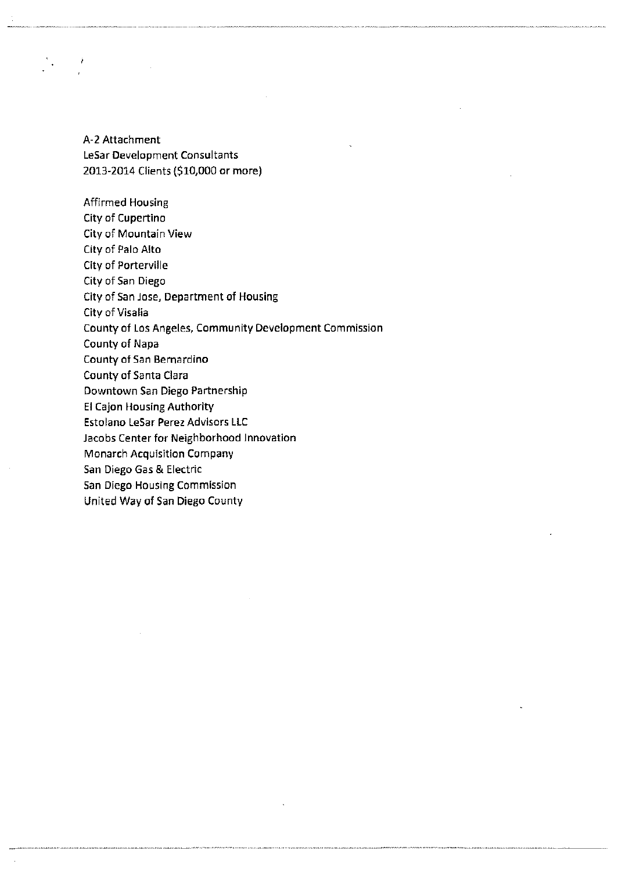A-2 Attachment leSar Development Consultants 2013-2014 Clients (\$10,000 or more)

 $\frac{1}{2}$ 

United Way of San Diego County

Affirmed Housing City of Cupertino City of Mountain View City of Palo Alto City of Porterville City of San Diego City of San Jose, Department of Housing City of Visalia County of los Angeles, Community Development Commission County of Napa County of San Bernardino County of Santa Clara Downtown San Diego Partnership EI Cajon Housing Authority Estolano leSar Perez Advisors llC Jacobs Center for Neighborhood Innovation Monarch Acquisition Company San Diego Gas & Electric San Diego Housing Commission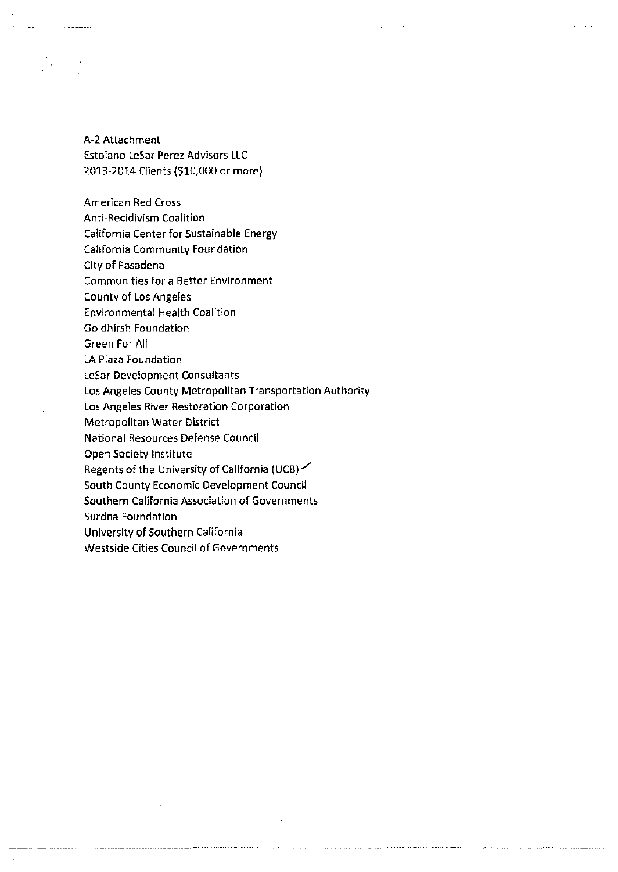A-2 Attachment Estolano LeSar Perez Advisors LLC 2013-2014 Clients (\$10,000 or more)

American Red Cross

 $\frac{1}{2}$ 

Anti-Recidivism Coalition

California Center for Sustainable Energy

California Community Foundation

City of Pasadena

Communities for a Better Environment

County of Los Angeles

Environmental Health Coalition

Goldhirsh Foundation

Green For All

LA Plaza Foundation

LeSar Development Consultants

Los Angeles County Metropolitan Transportation Authority

Los Angeles River Restoration Corporation

Metropolitan Water District

National Resources Defense Council

Open Society Institute

Regents of the University of California (UCB) $\angle$ 

South County Economic Development Council

Southern California Association of Governments

Surdna Foundation

University of Southern California

Westside Cities Council of Governments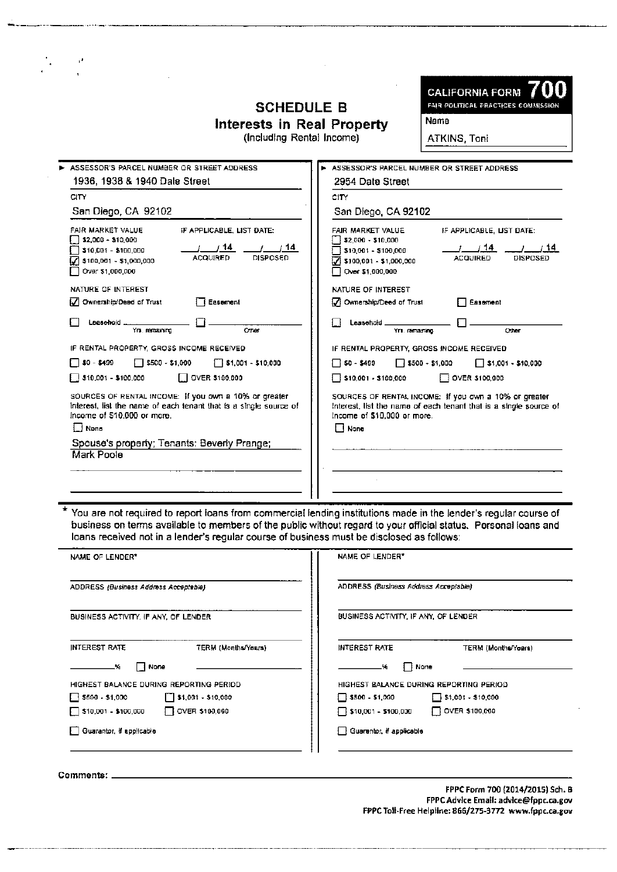# **SCHEDULE B**

**CALIFORNIA FORM FAIR POLITICAL PRACTICES COMMISSION** 

Interests in Real Property<br>(Including Rental Income)

ATKINS, Toni

Name

| ASSESSOR'S PARCEL NUMBER OR STREET ADDRESS                                                                                                                                                       | ASSESSOR'S PARCEL NUMBER OR STREET ADDRESS                                                                                                                                                                                      |
|--------------------------------------------------------------------------------------------------------------------------------------------------------------------------------------------------|---------------------------------------------------------------------------------------------------------------------------------------------------------------------------------------------------------------------------------|
|                                                                                                                                                                                                  | 2954 Date Street                                                                                                                                                                                                                |
| 1936, 1938 & 1940 Dale Street                                                                                                                                                                    |                                                                                                                                                                                                                                 |
| CITY                                                                                                                                                                                             | CITY                                                                                                                                                                                                                            |
| San Diego, CA 92102                                                                                                                                                                              | San Diego, CA 92102                                                                                                                                                                                                             |
| FAIR MARKET VALUE<br>IF APPLICABLE, LIST DATE:<br>52,000 - \$10,000<br>/ 14<br>1/14<br>\$10,001 - \$100,000<br><b>ACQUIRED</b><br><b>DISPOSED</b><br>\$100,001 - \$1,000,000<br>Over \$1,000,000 | FAIR MARKET VALUE<br>IF APPLICABLE, LIST DATE:<br>$\frac{1}{2}$ \$2,000 - \$10,000<br>/14<br>- 14<br>$\sqrt{510,001} - $100,000$<br><b>ACQUIRED</b><br><b>DISPOSED</b><br>$\sqrt{}$ \$100,001 - \$1,000,000<br>Over \$1,000,000 |
| NATURE OF INTEREST                                                                                                                                                                               | NATURE OF INTEREST                                                                                                                                                                                                              |
| V Ownership/Deed of Trust<br>Easement                                                                                                                                                            | M Ownership/Deed of Trust<br>Easement                                                                                                                                                                                           |
| Leasehold<br>Other<br>Yrs, remaining                                                                                                                                                             | Leasehold _<br>Yrs, remaining<br>Other                                                                                                                                                                                          |
| IF RENTAL PROPERTY, GROSS INCOME RECEIVED                                                                                                                                                        | IF RENTAL PROPERTY, GROSS INCOME RECEIVED                                                                                                                                                                                       |
| $\Box$ \$500 - \$1,000<br>$T$ \$1,001 - \$10,000<br>∏ \$0 - \$499                                                                                                                                | $\Box$ 50 - \$499<br>$\Box$ \$500 - \$1,000<br>$\Box$ \$1,001 - \$10,000                                                                                                                                                        |
| $\Box$ OVER \$100,000<br>$\blacksquare$ \$10,001 - \$100,000                                                                                                                                     | $\sqrt{5}$ \$10,001 - \$100,000<br>OVER \$100,000                                                                                                                                                                               |
| SOURCES OF RENTAL INCOME: If you own a 10% or greater<br>Interest, list the name of each tenant that is a single source of<br>Income of \$10,000 or more.<br><b>J</b> None                       | SOURCES OF RENTAL INCOME: If you own a 10% or greater<br>Interest, list the name of each tenant that is a single source of<br>Income of \$10,000 or more.<br>$\Box$ None                                                        |
| Spouse's property; Tenants: Beverly Prange;<br>Mark Poole                                                                                                                                        |                                                                                                                                                                                                                                 |
|                                                                                                                                                                                                  |                                                                                                                                                                                                                                 |

You are not required to report loans from commercial lending institutions made in the lender's regular course of business on terms available to members of the public without regard to your official status. Personal loans and loans received not in a lender's regular course of business must be disclosed as follows:

| NAME OF LENDER*                                       | NAME OF LENDER*                                     |
|-------------------------------------------------------|-----------------------------------------------------|
| ADDRESS (Business Address Acceptable)                 | <b>ADDRESS (Business Address Acceptable)</b>        |
| BUSINESS ACTIVITY, IF ANY, OF LENDER                  | BUSINESS ACTIVITY, IF ANY, OF LENDER                |
| <b>INTEREST RATE</b><br>TERM (Months/Years)           | <b>INTEREST RATE</b><br>TERM (Months/Years)         |
| ∣ ‡ None<br>-%                                        | ‡ FNone<br>-%                                       |
| HIGHEST BALANCE DURING REPORTING PERIOD.              | HIGHEST BALANCE DURING REPORTING PERIOD             |
| $\begin{bmatrix} 1 \end{bmatrix}$ \$1,001 - \$10,000  | $\sqrt{5500} - 51,000$<br>$\Box$ \$1,001 - \$10,000 |
| <b>DOVER \$100,000</b><br>$\Box$ \$10,001 - \$100,000 | OVER \$100,000<br>510,001 - 5100,000                |
| Guarantor, if applicable                              | Guarantor, if applicable                            |

Comments: \_

Ļ,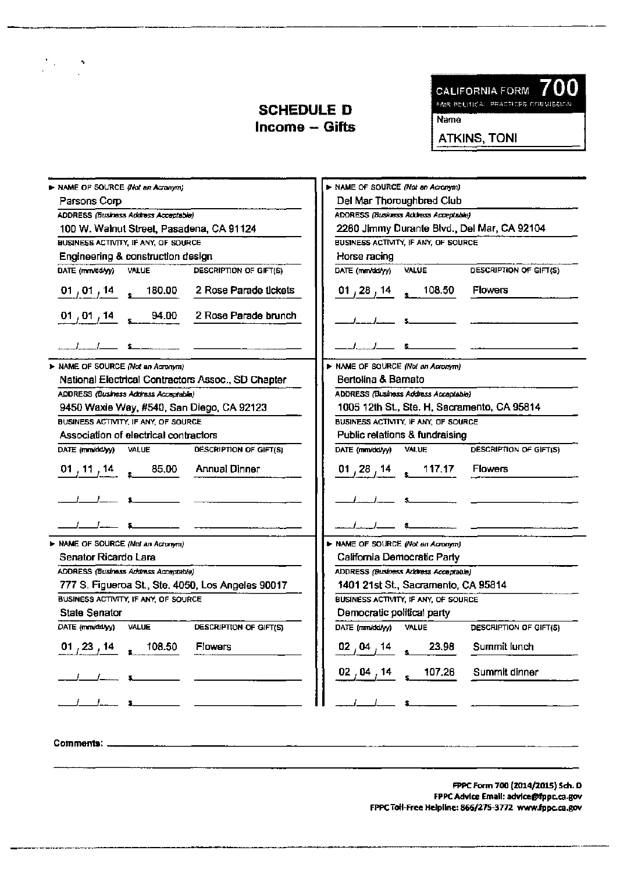

ATKINS, TONI

| > NAME OF SOURCE (Not an Acronym)                                | > NAME OF SOURCE (Not an Acronym)                                                   |
|------------------------------------------------------------------|-------------------------------------------------------------------------------------|
| Parsons Corp                                                     | Del Mar Thoroughbred Club                                                           |
| ADDRESS (Business Address Acceptable)                            | ADDRESS (Business Address Acceptable)                                               |
| 100 W. Walnut Street, Pasadena, CA 91124                         | 2260 Jimmy Durante Blvd., Del Mar, CA 92104<br>BUSINESS ACTIVITY, IF ANY, OF SOURCE |
| BUSINESS ACTIVITY, IF ANY, OF SOURCE                             |                                                                                     |
| Engineering & construction design                                | Horse racing                                                                        |
| DATE (mm/dd/yy)<br><b>VALUE</b><br>DESCRIPTION OF GIFT(S)        | DESCRIPTION OF GIFT(S)<br><b>VALUE</b><br>DATE (mm/dd/yy)                           |
| 2 Rose Parade tickets<br>$01, 01, 14$ $\frac{14}{1}$ 180.00      | $01, 28, 14$ 108.50<br><b>Flowers</b>                                               |
| 2 Rose Parade brunch<br>$01, 01, 14$ $_{*}$ 94.00                |                                                                                     |
|                                                                  |                                                                                     |
| > NAME OF SOURCE (Not an Acronym)                                | > NAME OF SOURCE (Not an Acronym)                                                   |
| National Electrical Contractors Assoc., SD Chapter               | Bertolina & Barnato                                                                 |
| ADDRESS (Business Address Acceptable)                            | ADDRESS (Business Address Acceptable)                                               |
| 9450 Waxie Way, #540, San Diego, CA 92123                        | 1005 12th St., Ste. H, Sacramento, CA 95814                                         |
| BUSINESS ACTIVITY, IF ANY, OF SOURCE                             | BUSINESS ACTIVITY, IF ANY, OF SOURCE                                                |
| Association of electrical contractors                            | Public relations & fundraising                                                      |
| DATE (mm/dd/yy) VALUE<br>DESCRIPTION OF GIFT(S)                  | DATE (mm/dd/yy)<br><b>VALUE</b><br>DESCRIPTION OF GIFT(S)                           |
| Annual Dinner<br>01 , 11 , 14 $\frac{1}{2}$<br>85.00             | $01, 28, 14$ $\frac{117.17}{\sqrt{11}}$<br><b>Flowers</b>                           |
|                                                                  |                                                                                     |
|                                                                  |                                                                                     |
| > NAME OF SOURCE (Not an Acronym)                                | > NAME OF SOURCE (Not an Acronym)                                                   |
| Senator Ricardo Lara                                             | California Democratic Party                                                         |
| <b>ADDRESS (Business Address Acceptable)</b>                     | ADDRESS (Business Address Acceptable)                                               |
| 777 S. Figueroa St., Ste. 4050, Los Angeles 90017                | 1401 21st St., Sacramento, CA 95814                                                 |
| BUSINESS ACTIVITY, IF ANY, OF SOURCE                             | BUSINESS ACTIVITY, IF ANY, OF SOURCE                                                |
| <b>State Senator</b>                                             | Democratic political party                                                          |
| DATE (mm/dd/yy)<br><b>VALUE</b><br><b>DESCRIPTION OF GIFT(S)</b> | DATE (mm/dd/yy)<br>VALUE<br>DESCRIPTION OF GIFT(5)                                  |
| 108.50<br><b>Flowers</b><br>01, 23, 14                           | 23.98<br>Summit lunch<br>02 , 04 , 14                                               |
|                                                                  | Summit dinner<br>107.26<br>$02$ , $04$ , $14$                                       |
| $\sim$                                                           |                                                                                     |

 $\sum_{i}$ 

 $\frac{1}{2} \left( \frac{1}{2} \right) = \frac{1}{2} \frac{1}{2}$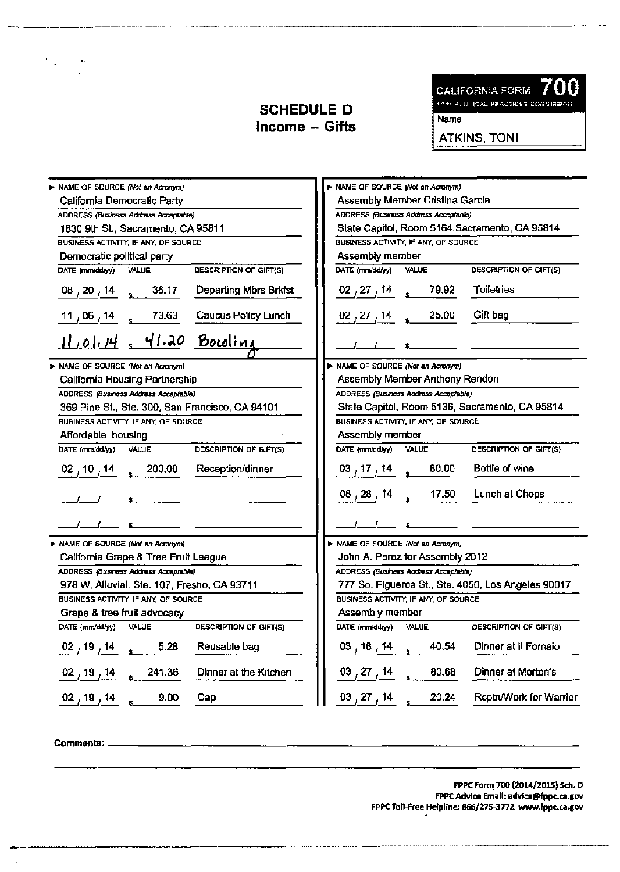

**ATKINS, TONI** 

| > NAME OF SOURCE (Not an Acronym)                                   | > NAME OF SOURCE (Not an Acromym)                            |
|---------------------------------------------------------------------|--------------------------------------------------------------|
| California Democratic Party                                         | Assembly Member Cristina Garcia                              |
| ADDRESS (Business Address Acceptable)                               | ADDRESS (Business Address Acceptable)                        |
| 1830 9th St., Sacramento, CA 95811                                  | State Capitol, Room 5164, Sacramento, CA 95814               |
| BUSINESS ACTIVITY, IF ANY, OF SOURCE                                | BUSINESS ACTIVITY, IF ANY, OF SOURCE                         |
| Democratic political party                                          | Assembly member                                              |
| DESCRIPTION OF GIFT(S)<br>DATE (mm/dd/yy) VALUE                     | DATE (mm/dd/yy) VALUE<br><b>DESCRIPTION OF GIFT(S)</b>       |
| $\frac{08}{120}$ , $\frac{14}{14}$ s 36.17<br>Departing Mbrs Brkfst | 02 27 14 19.92 Toiletries                                    |
| $\frac{11}{106}$ 14 s 73.63 Caucus Policy Lunch                     | $\frac{02}{12}$ , 27, 14 s 25.00 Gift bag                    |
| $11.01.14$ , 41.20 Bowling                                          |                                                              |
| > NAME OF SOURCE (Not an Acronym)                                   | > NAME OF SOURCE (Not an Acronym)                            |
| California Housing Partnership                                      | Assembly Member Anthony Rendon                               |
| <b>ADDRESS</b> (Business Address Acceptable)                        | ADDRESS (Business Address Acceptable)                        |
| 369 Pine St., Ste. 300, San Francisco, CA 94101                     | State Capitol, Room 5136, Sacramento, CA 95814               |
| BUSINESS ACTIVITY, IF ANY, OF SOURCE                                | BUSINESS ACTIVITY, IF ANY, OF SOURCE                         |
| Affordable housing                                                  | Assembly member                                              |
| DATE (mm/dd/yy) VALUE<br>DESCRIPTION OF GIFT(S)                     | DATE (mm/dd/yy) VALUE<br>DESCRIPTION OF GIFT(S)              |
| Reception/dinner<br>$02/10/14$ s 200.00                             | 03 $_1$ 17 $_1$ 14 $_5$ 80.00 Bottle of wine                 |
|                                                                     | 08, 28, 14 $\frac{1}{2}$ 17.50 Lunch at Chops                |
|                                                                     |                                                              |
| > NAME OF SOURCE (Not an Acronym)                                   | > NAME OF SOURCE (Not an Acronym)                            |
| California Grape & Tree Fruit League                                | John A. Perez for Assembly 2012                              |
| ADDRESS (Business Address Acceptable)                               | ADDRESS (Business Address Acceptable)                        |
| 978 W. Alluvial, Ste. 107, Fresno, CA 93711                         | 777 So. Figueroa St., Ste. 4050, Los Angeles 90017           |
| BUSINESS ACTIVITY, IF ANY, OF SOURCE                                | BUSINESS ACTIVITY, IF ANY, OF SOURCE                         |
| Grape & tree fruit advocacy                                         | Assembly member                                              |
| DATE (mm/dd/yy) VALUE<br>DESCRIPTION OF GIFT(S)                     | DATE (mm/dd/yy) VALUE<br><b>DESCRIPTION OF GIFT(S)</b>       |
| $02, 19, 14$ $\frac{1}{12}$ 5.28<br>Reusable bag                    | Dinner at II Fornaio<br>$03, 18, 14$ $\leftarrow$ 40.54      |
| Dinner at the Kitchen<br>$02, 19, 14$ $241.36$                      | $\frac{03}{27}, \frac{27}{14}$ s 80.68<br>Dinner at Morton's |
| $\frac{02}{19}$ , 14 s 9.00<br>Cap                                  | $\frac{03}{27}$ , 14 s 20.24 Reptrt/Work for Warrior         |

Comments: \_

 $\frac{1}{\sqrt{2}}\frac{1}{\sqrt{2}}\left(\frac{1}{\sqrt{2}}\right)^{2}=\frac{1}{2}\frac{1}{\sqrt{2}}\frac{1}{\sqrt{2}}\left(\frac{1}{\sqrt{2}}\right)^{2}$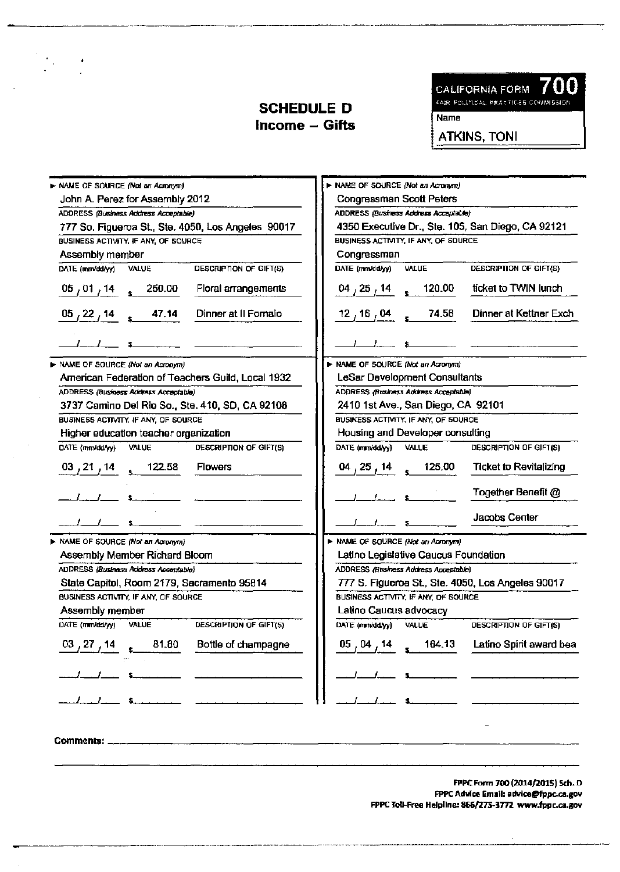$\frac{1}{2} \frac{1}{2} \frac{1}{2}$ 

700 **CALIFORNIA FORM** 

FAIR POLITICAL PRACTICES COMMISSION

**Name** 

**ATKINS, TONI** 

| > NAME OF SOURCE (Not an Acronym)                                | > NAME OF SOURCE (Not an Acronym)                                                 |
|------------------------------------------------------------------|-----------------------------------------------------------------------------------|
| John A. Perez for Assembly 2012                                  | <b>Congressman Scott Peters</b>                                                   |
| ADDRESS (Business Address Acceptable)                            | ADDRESS (Business Address Acceptable)                                             |
| 777 So. Figueroa St., Ste. 4050, Los Angeles 90017               | 4350 Executive Dr., Ste. 105, San Diego, CA 92121                                 |
| BUSINESS ACTIVITY, IF ANY, OF SOURCE                             | BUSINESS ACTIVITY, IF ANY, OF SOURCE                                              |
| Assembly member                                                  | Congressman                                                                       |
| DESCRIPTION OF GIFT(S)<br>DATE (mm/dd/yy)<br>VALUE               | DESCRIPTION OF GIFT(S)<br>DATE (mm/dd/yy)<br>VALUE                                |
| $05/01/14$ $\frac{250.00}{5}$<br>Floral arrangements             | ticket to TWIN lunch<br>$\frac{04}{25}$ , $\frac{14}{120}$ s $\frac{120.00}{120}$ |
| $\frac{05}{22}$ 14 $\frac{47.14}{2}$ Dinner at II Fornaio        | 12 $\frac{16}{16}$ 04 $\frac{24.58}{16}$ Dinner at Kettner Exch                   |
|                                                                  |                                                                                   |
| > NAME OF SOURCE (Not an Acronym)                                | > NAME OF SOURCE (Not an Acronym)                                                 |
| American Federation of Teachers Guild, Local 1932                | LeSar Development Consultants                                                     |
| ADDRESS (Business Address Acceptable)                            | <b>ADDRESS (Business Address Acceptable)</b>                                      |
| 3737 Camino Del Rio So., Ste. 410, SD, CA 92108                  | 2410 1st Ave., San Diego, CA 92101                                                |
| BUSINESS ACTIVITY, IF ANY, OF SOURCE                             | BUSINESS ACTIVITY, IF ANY, OF SOURCE                                              |
| Higher education teacher organization                            | Housing and Developer consulting                                                  |
| DESCRIPTION OF GIFT(S)<br>DATE (mm/dd/yy) VALUE                  | DATE (mm/dd/yy) VALUE<br>DESCRIPTION OF GIFT(S)                                   |
| 03/21/14<br>$\sqrt{122.58}$<br><b>Flowers</b>                    | 125.00 Ticket to Revitalizing<br>$04$ , 25 , 14                                   |
|                                                                  | Together Benefit @                                                                |
|                                                                  | Jacobs Center                                                                     |
| > NAME OF SOURCE (Not an Acronym)                                | > NAME OF SOURCE (Not an Acronym)                                                 |
| Assembly Member Richard Bloom                                    | Latino Legislative Caucus Foundation                                              |
| ADDRESS (Business Address Acceptable)                            | ADDRESS (Business Address Acceptable)                                             |
| State Capitol, Room 2179, Sacramento 95814                       | 777 S. Figueroa St., Ste. 4050, Los Angeles 90017                                 |
| BUSINESS ACTIVITY, IF ANY, OF SOURCE                             | BUSINESS ACTIVITY, IF ANY, OF SOURCE                                              |
| Assembly member                                                  | Latino Caucus advocacy                                                            |
| <b>DESCRIPTION OF GIFT(S)</b><br>DATE (mm/dd/yy)<br><b>VALUE</b> | DATE (mm/dd/yy)<br>VALUE<br><b>DESCRIPTION OF GIFT(S)</b>                         |
| Bottle of champagne<br>81.80<br>$03$ , $27$ , 14                 | 164.13 Latino Spirit award bea<br>05 , 04 , 14                                    |
|                                                                  |                                                                                   |
|                                                                  |                                                                                   |
| Comments: __                                                     |                                                                                   |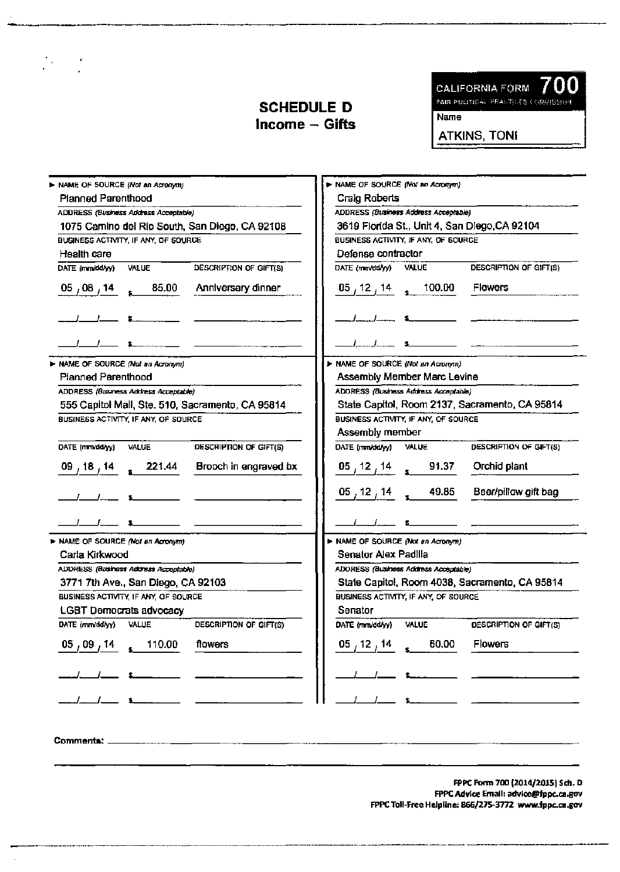00 **CALIFORNIA FORM** ſ

FAIR PULLTECAL PRACTICES COMMISSION

Name

**ATKINS, TONI** 

| > NAME OF SOURCE (Not an Acronym)                         | > NAME OF SOURCE (Not an Acromm)                          |
|-----------------------------------------------------------|-----------------------------------------------------------|
| <b>Planned Parenthood</b>                                 | <b>Craig Roberts</b>                                      |
| ADDRESS (Business Address Acceptable)                     | ADDRESS (Business Address Acceptable)                     |
| 1075 Camino del Rio South, San Diego, CA 92108            | 3619 Florida St., Unit 4, San Diego, CA 92104             |
| BUSINESS ACTIVITY, IF ANY, OF SOURCE                      | BUSINESS ACTIVITY, IF ANY, OF SOURCE                      |
| Health care                                               | Defense contractor                                        |
| DATE (mm/dd/yy)<br><b>DESCRIPTION OF GIFT(S)</b><br>VALUE | DATE (mm/dd/yy)<br>DESCRIPTION OF GIFT(S)<br><b>VALUE</b> |
| 85.00<br>Anniversary dinner<br>05 $\sqrt{08}$ $\sqrt{14}$ | 100.00<br><b>Flowers</b><br>$05$ , 12 , 14                |
|                                                           |                                                           |
|                                                           |                                                           |
| > NAME OF SOURCE (Not an Acronym)                         | > NAME OF SOURCE (Not an Acromyrn)                        |
| <b>Planned Parenthood</b>                                 | Assembly Member Marc Levine                               |
| ADDRESS (Business Address Acceptable)                     | ADDRESS (Business Address Acceptable)                     |
| 555 Capitol Mall, Ste. 510, Sacramento, CA 95814          | State Capitol, Room 2137, Sacramento, CA 95814            |
| BUSINESS ACTIVITY, IF ANY, OF SOURCE                      | BUSINESS ACTIVITY, IF ANY, OF SOURCE                      |
|                                                           | Assembly member                                           |
| DESCRIPTION OF GIFT(S)<br>DATE (mm/dd/yy)<br>VALUE        | DATE (mm/dd/yy) VALUE<br>DESCRIPTION OF GIFT(S)           |
| Brooch in engraved bx<br>221.44<br>09,18,14               | $\frac{05}{12}, \frac{12}{14}$ s 91.37<br>Orchid plant    |
|                                                           | $05, 12, 14$ 49.85<br>Beer/pillow gift bag                |
|                                                           |                                                           |
| > NAME OF SOURCE (Not an Acronym)                         | > NAME OF SOURCE (Not an Acronym)                         |
| Carla Kirkwood                                            | Senator Alex Padilla                                      |
| ADDRESS (Business Address Acceptable)                     | ADORESS (Business Address Acceptable)                     |
| 3771 7th Ave., San Diego, CA 92103                        | State Capitol, Room 4038, Sacramento, CA 95814            |
| BUSINESS ACTIVITY, IF ANY, OF SOURCE                      | BUSINESS ACTIVITY, IF ANY, OF SOURCE                      |
| <b>LGBT Democrats advocacy</b>                            | Senator                                                   |
| <b>VALUE</b><br>DESCRIPTION OF GIFT(S)<br>DATE (mm/dd/yy) | VALUE<br>DESCRIPTION OF GIFT(S)<br>DATE (mm/dd/yy)        |
| flowers<br>$05$ , $09$ , 14<br>110.00                     | 60.00<br>$05$ , 12 , 14<br>Flowers                        |
|                                                           |                                                           |
|                                                           |                                                           |

Comments: \_

 $\label{eq:2.1} \frac{1}{2} \sum_{i=1}^n \frac{1}{2} \sum_{j=1}^n \frac{1}{2} \sum_{j=1}^n \frac{1}{2} \sum_{j=1}^n \frac{1}{2} \sum_{j=1}^n \frac{1}{2} \sum_{j=1}^n \frac{1}{2} \sum_{j=1}^n \frac{1}{2} \sum_{j=1}^n \frac{1}{2} \sum_{j=1}^n \frac{1}{2} \sum_{j=1}^n \frac{1}{2} \sum_{j=1}^n \frac{1}{2} \sum_{j=1}^n \frac{1}{2} \sum_{j=1}^n \frac{$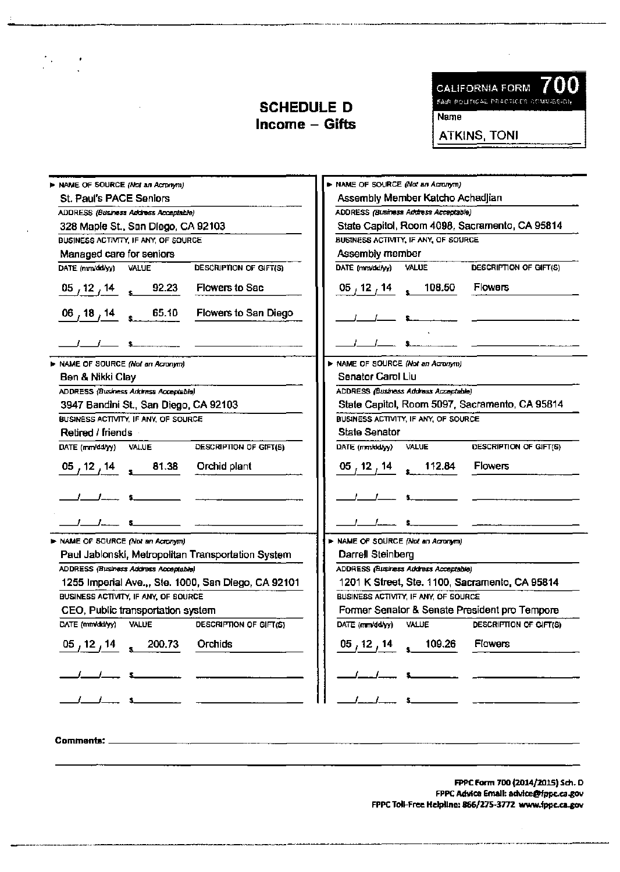CALIFORNIA FORM **700**  \*AIR POLITICAL PRACTICES COMMISSION

Name

ATKINS, TONI

| NAME OF SOURCE (Nat an Acronym)                                                 | > NAME OF SOURCE (Not an Acronym)                                 |
|---------------------------------------------------------------------------------|-------------------------------------------------------------------|
| St. Paul's PACE Seniors                                                         | Assembly Member Katcho Achadjian                                  |
| ADDRESS (Business Address Acceptable)                                           | ADDRESS (Business Address Acceptable)                             |
| 328 Maple St., San Diego, CA 92103                                              | State Capitol, Room 4098, Sacramento, CA 95814                    |
| BUSINESS ACTIVITY, IF ANY, OF SOURCE                                            | BUSINESS ACTIVITY, IF ANY, OF SOURCE                              |
| Managed care for seniors                                                        | Assembly member                                                   |
| DATE (mm/dd/yy)<br><b>DESCRIPTION OF GIFT(S)</b><br>VALUE                       | DATE (mm/dd/yy)<br>DESCRIPTION OF GIFT(S)<br>VALUE                |
| $\frac{05}{12}$ , $\frac{14}{14}$ s $\frac{92.23}{12}$<br><b>Flowers to Sac</b> | 05 $_1$ 12 $_1$ 14 $_5$ 108.50 Flowers                            |
| Flowers to San Diego<br>$\frac{06}{18}$ , 18, 14 s 65.10                        |                                                                   |
|                                                                                 |                                                                   |
| > NAME OF SOURCE (Not an Acronym)                                               | > NAME OF SOURCE (Not an Acronym)                                 |
| Ben & Nikki Clay                                                                | Senator Carol Liu                                                 |
| ADDRESS (Business Address Acceptable)                                           | <b>ADDRESS (Business Address Acceptable)</b>                      |
| 3947 Bandini St., San Diego, CA 92103                                           | State Capitol, Room 5097, Sacramento, CA 95814                    |
| BUSINESS ACTIVITY, IF ANY, OF SOURCE                                            | BUSINESS ACTIVITY, IF ANY, OF SOURCE                              |
| Retired / friends                                                               | <b>State Senator</b>                                              |
| DESCRIPTION OF GIFT(S)<br>DATE (mm/dd/yy) VALUE                                 | DESCRIPTION OF GIFT(S)<br>DATE (mm/dd/yy) VALUE                   |
| 05 12 14 s 81.38 Orchid plant                                                   | <b>Flowers</b><br>$05, 12, 14$ 112.84                             |
|                                                                                 |                                                                   |
|                                                                                 |                                                                   |
| > NAME OF SOURCE (Not an Acronym)                                               | > NAME OF SOURCE (Not an Acronym)                                 |
| Paul Jablonski, Metropolitan Transportation System                              | Darrell Steinberg                                                 |
| ADDRESS (Business Address Acceptable)                                           | ADDRESS (Business Address Acceptable)                             |
| 1255 Imperial Ave.,, Ste. 1000, San Diego, CA 92101                             | 1201 K Street, Ste. 1100, Sacramento, CA 95814                    |
| BUSINESS ACTIVITY, IF ANY, OF SOURCE                                            | BUSINESS ACTIVITY, IF ANY, OF SOURCE                              |
| CEO, Public transportation system                                               | Former Senator & Senate President pro Tempore                     |
| DATE (mm/dd/yy) VALUE<br>DESCRIPTION OF GIFT(S)                                 | DATE (mm/dd/yy) VALUE<br><b>DESCRIPTION OF GIFT(S)</b>            |
| $05, 12, 14$ $\phantom{00}8, 200.73$<br>Orchids                                 | $\frac{05}{12}, \frac{12}{14}$ $\frac{109.26}{109.25}$<br>Flowers |
|                                                                                 |                                                                   |
|                                                                                 |                                                                   |
| Commants:                                                                       |                                                                   |

 $\label{eq:2.1} \frac{1}{\sqrt{2}}\left(\frac{1}{\sqrt{2}}\right)^2\frac{1}{\sqrt{2}}\left(\frac{1}{\sqrt{2}}\right)^2.$ 

 $\bar{z}$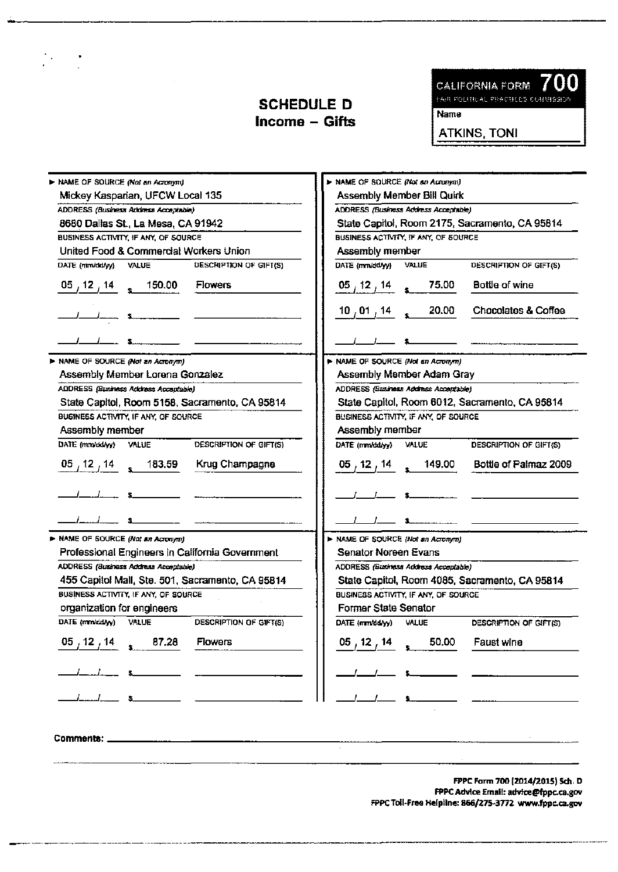$\frac{1}{2} \sum_{i=1}^{n} \frac{1}{2} \sum_{j=1}^{n} \frac{1}{2} \sum_{j=1}^{n} \frac{1}{2} \sum_{j=1}^{n} \frac{1}{2} \sum_{j=1}^{n} \frac{1}{2} \sum_{j=1}^{n} \frac{1}{2} \sum_{j=1}^{n} \frac{1}{2} \sum_{j=1}^{n} \frac{1}{2} \sum_{j=1}^{n} \frac{1}{2} \sum_{j=1}^{n} \frac{1}{2} \sum_{j=1}^{n} \frac{1}{2} \sum_{j=1}^{n} \frac{1}{2} \sum_{j=1}^{n$ 



Name

ATKINS, TONI

| > NAME OF SOURCE (Not an Acronym)                                | > NAME OF SOURCE (Not an Acronym)                      |  |
|------------------------------------------------------------------|--------------------------------------------------------|--|
| Mickey Kasparian, UFCW Local 135                                 | Assembly Member Bill Quirk                             |  |
| ADDRESS (Business Address Acceptable)                            | ADDRESS (Business Address Acceptable)                  |  |
| 8680 Dallas St., La Mesa, CA 91942                               | State Capitol, Room 2175, Sacramento, CA 95814         |  |
| BUSINESS ACTIVITY, IF ANY, OF SOURCE                             | BUSINESS ACTIVITY, IF ANY, OF SOURCE                   |  |
| United Food & Commercial Workers Union                           | Assembly member                                        |  |
| DATE (mm/dd/yy) VALUE<br>DESCRIPTION OF GIFT(S)                  | DATE (mm/dd/yy)<br>VALUE<br>DESCRIPTION OF GIFT(S)     |  |
| $\frac{05}{12}$ , 12, 14 s 150.00<br><b>Flowers</b>              | Bottle of wine<br>$\frac{05}{12}$ , 12, 14<br>75.00    |  |
|                                                                  | Chocolates & Coffee<br>20.00<br>10 $\sqrt{01}$ , 14    |  |
|                                                                  |                                                        |  |
| > NAME OF SOURCE (Not an Acronym)                                | > NAME OF SOURCE (Not an Acronym)                      |  |
| Assembly Member Lorena Gonzalez                                  | Assembly Member Adam Gray                              |  |
| ADDRESS (Business Address Acceptable)                            | ADDRESS (Business Address Acceptable)                  |  |
| State Capitol, Room 5158, Sacramento, CA 95814                   | State Capitol, Room 6012, Sacramento, CA 95814         |  |
| BUGINESS ACTIVITY, IF ANY, OF SOURCE                             | BUSINESS ACTIVITY, IF ANY, OF SOURCE                   |  |
| Assembly member                                                  | Assembly member                                        |  |
| DATE (mm/dd/vy) VALUE<br>DESCRIPTION OF GIFT(S)                  | DATE (mm/dd/yy) VALUE<br><b>DESCRIPTION OF GIFT(S)</b> |  |
| Krug Champagne<br>$05/12/14$ 183.59                              | $05, 12, 14$ (149.00)<br>Bottle of Palmaz 2009         |  |
|                                                                  |                                                        |  |
|                                                                  |                                                        |  |
| > NAME OF SOURCE (Not an Acronym)                                | > NAME OF SOURCE (Not an Acromym)                      |  |
| Professional Engineers in California Government                  | <b>Senator Noreen Evans</b>                            |  |
| ADDRESS (Business Address Acceptable)                            | ADDRESS (Business Address Acceptable)                  |  |
| 455 Capitol Mall, Ste. 501, Sacramento, CA 95814                 | State Capitol, Room 4085, Sacramento, CA 95814         |  |
| BUSINESS ACTIVITY, IF ANY, OF SOURCE                             | BUSINESS ACTIVITY, IF ANY, OF SOURCE                   |  |
| organization for engineers                                       | Former State Senator                                   |  |
| DATE (mnvdd/yy)<br><b>VALUE</b><br><b>DESCRIPTION OF GIFT(S)</b> | DATE (mm/dd/yy) VALUE<br>DESCRIPTION OF GIFT(S)        |  |
| 05/12/14<br>87.28<br><b>Flowers</b>                              | $05$ , 12 , 14<br>50.00<br>Faust wine                  |  |
|                                                                  |                                                        |  |
|                                                                  |                                                        |  |
| Comments: _                                                      |                                                        |  |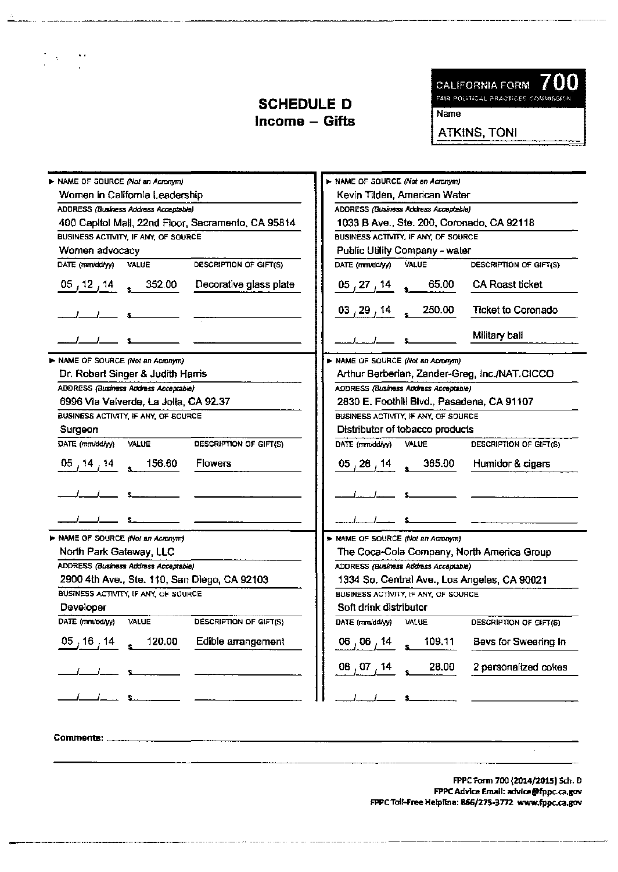700 **CALIFORNIA FORM** 

FAIR POLITICAL PRACTICES COMMISSION

Name

ATKINS, TONI

| > NAME OF SOURCE (Not an Acronym)                                | > NAME OF SOURCE (Not an Acronym)                         |
|------------------------------------------------------------------|-----------------------------------------------------------|
| Women in California Leadership                                   | Kevin Tilden, American Water                              |
| ADDRESS (Business Address Acceptable)                            | ADDRESS (Business Address Acceptable)                     |
| 400 Capitol Mail, 22nd Floor, Sacramento, CA 95814               | 1033 B Ave., Ste. 200, Coronado, CA 92118                 |
| BUSINESS ACTIVITY, IF ANY, OF SOURCE                             | BUSINESS ACTIVITY, IF ANY, OF SOURCE                      |
| Women advocacy                                                   | Public Utility Company - water                            |
| DESCRIPTION OF GIFT(S)<br>DATE (min/dd/yy) VALUE                 | DATE (mm/dd/yy)<br><b>VALUE</b><br>DESCRIPTION OF GIFT(S) |
| $05, 12, 14$ $352.00$<br>Decorative glass plate                  | CA Roast ticket<br>65.00<br>05, 27, 14                    |
|                                                                  | 250.00<br><b>Ticket to Coronado</b><br>$03$ , 29 , 14     |
|                                                                  | Military ball                                             |
| NAME OF SOURCE (Not an Acromm)                                   | > NAME OF SOURCE (Not an Acronym)                         |
| Dr. Robert Singer & Judith Harris                                | Arthur Berberian, Zander-Greg, Inc./NAT.CICCO             |
| ADDRESS (Business Address Acceptable)                            | ADDRESS (Business Address Acceptable)                     |
| 6996 Via Valverde, La Jolla, CA 92.37                            | 2830 E. Foothill Blvd., Pasadena, CA 91107                |
| BUSINESS ACTIVITY, IF ANY, OF SOURCE                             | BUSINESS ACTIVITY. IF ANY, OF SOURCE                      |
| Surgeon                                                          | Distributor of tobacco products                           |
| DATE (mm/dd/yy)<br>DESCRIPTION OF GIFT(S)<br><b>VALUE</b>        | DATE (mm/dd/yy)<br><b>VALUE</b><br>DESCRIPTION OF GIFT(S) |
| $05, 14, 14, 14$ 156.60<br><b>Flowers</b>                        | 05 $_1$ 28 $_1$ 14 $_*$ 365.00 Humidor & cigars           |
|                                                                  |                                                           |
|                                                                  |                                                           |
| > NAME OF SOURCE (Not an Acronym)                                | > NAME OF SOURCE (Not an Acronym)                         |
| North Park Gateway, LLC                                          | The Coca-Cola Company, North America Group                |
| ADDRESS (Business Address Acceptable)                            | ADDRESS (Business Address Acceptable)                     |
| 2900 4th Ave., Ste. 110, San Diego, CA 92103                     | 1334 So. Central Ave., Los Angeles, CA 90021              |
| BUSINESS ACTIVITY, IF ANY, OF SOURCE                             | BUSINESS ACTIVITY, IF ANY, OF SOURCE                      |
| Developer                                                        | Soft drink distributor                                    |
| DATE (mn/dd/yy)<br><b>VALUE</b><br><b>DESCRIPTION OF GIFT(S)</b> | DATE (mm/dd/yy)<br>VALUE<br><b>DESCRIPTION OF GIFT(S)</b> |
| Edible arrangement<br>120.00<br>$\frac{05}{16}$ 14               | 109.11<br>Bevs for Swearing In<br>06,06,14                |
|                                                                  | 2 personalized cokes<br>28.00                             |
|                                                                  |                                                           |
|                                                                  |                                                           |

Comments:

 $\frac{1}{2} \left( \frac{1}{2} \right) = \frac{1}{2} \frac{1}{2}$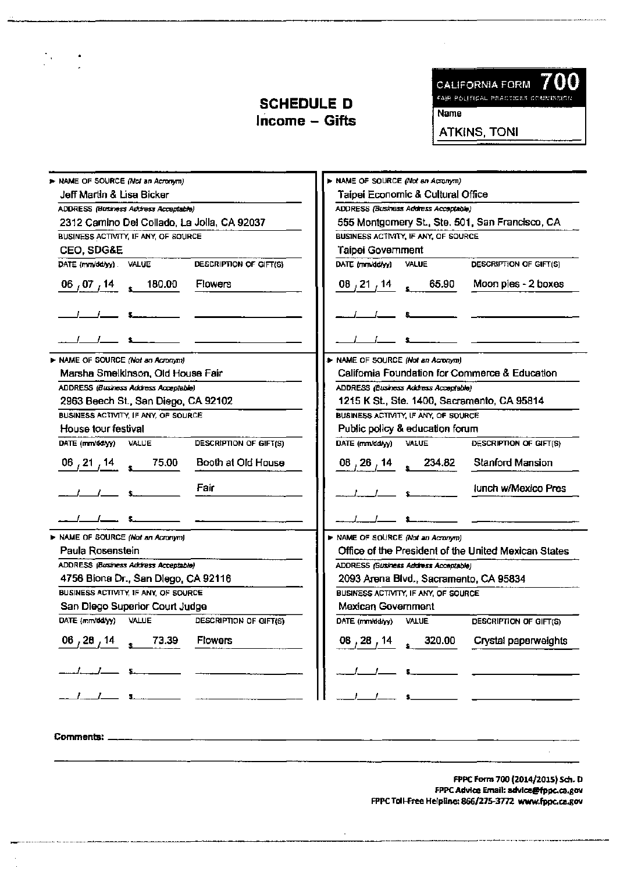$\frac{1}{2}$ 

00 CALIFORNIA FORM **FAIR POLITICAL PRACTICES COMMISSION Name** 

**ATKINS, TONI** 

| > NAME OF SOURCE (Not an Acronym)                                                           |                                                  | > NAME OF SOURCE (Not an Acronym)                    |  |
|---------------------------------------------------------------------------------------------|--------------------------------------------------|------------------------------------------------------|--|
| Jeff Martin & Lisa Bicker                                                                   |                                                  | Taipei Economic & Cultural Office                    |  |
| ADDRESS (Business Actress Acceptable)                                                       |                                                  | ADORESS (Business Address Acceptable)                |  |
| 2312 Camino Del Collado, La Jolla, CA 92037                                                 |                                                  | 555 Montgomery St., Ste. 501, San Francisco, CA      |  |
| BUSINESS ACTIVITY, IF ANY, OF SOURCE                                                        |                                                  | BUSINESS ACTIVITY, IF ANY, OF SOURCE                 |  |
| CEO, SDG&E                                                                                  |                                                  | Taipei Government                                    |  |
| DATE (mm/dd/yy) VALUE                                                                       | DESCRIPTION OF GIFT(S)                           | DATE (mm/dd/yy) VALUE<br>DESCRIPTION OF GIFT(S)      |  |
| $\,cdot\,$ 180.00<br><b>Flowers</b><br>$\begin{smallmatrix} 06 & 07 & 14 \end{smallmatrix}$ | 08,21,14                                         | Moon pies - 2 boxes<br>65.90                         |  |
|                                                                                             |                                                  |                                                      |  |
|                                                                                             |                                                  |                                                      |  |
| > NAME OF SOURCE (Not an Acronym)                                                           |                                                  | > NAME OF SOURCE (Not an Acronym)                    |  |
| Marsha Smelkinson, Old House Fair                                                           |                                                  | California Foundation for Commerce & Education       |  |
| ADDRESS (Business Address Acceptable)                                                       |                                                  | ADDRESS (Business Address Acceptable)                |  |
| 2963 Beech St., San Diego, CA 92102                                                         |                                                  | 1215 K St., Ste. 1400, Sacramento, CA 95814          |  |
| BUSINESS ACTIVITY, IF ANY, OF SOURCE                                                        |                                                  | BUSINESS ACTIVITY, IF ANY, OF SOURCE                 |  |
| House tour festival                                                                         |                                                  | Public policy & education forum                      |  |
| DATE (mm/dd/yy)<br>VALUE                                                                    | DATE (mm/dd/yy)<br>DESCRIPTION OF GIFT(S)        | VALUE<br>DESCRIPTION OF GIFT(S)                      |  |
| 75.00<br>$06^{121}$ , 14                                                                    | Booth at Old House                               | <b>Stanford Mansion</b><br>$08, 26, 14$ 234.82       |  |
| Fair                                                                                        |                                                  | Junch w/Mexico Pres                                  |  |
|                                                                                             |                                                  |                                                      |  |
| > NAME OF SOURCE (Not an Acronym)                                                           |                                                  | > NAME OF SOURCE (Not an Acronym)                    |  |
| Paula Rosenstein                                                                            |                                                  | Office of the President of the United Mexican States |  |
| ADDRESS (Business Address Acceptable)                                                       |                                                  | ADDRESS (Business Address Acceptable)                |  |
| 4756 Biona Dr., San Diego, CA 92116                                                         |                                                  | 2093 Arena Blvd., Sacramento, CA 95834               |  |
| BUSINESS ACTIVITY, IF ANY, OF SOURCE                                                        |                                                  | BUSINESS ACTIVITY, IF ANY, OF SOURCE                 |  |
| San Diego Superior Court Judge                                                              |                                                  | Mexican Government                                   |  |
| DATE (mm/dd/yy) VALUE                                                                       | <b>DESCRIPTION OF GIFT(S)</b><br>DATE (mm/dd/yy) | <b>VALUE</b><br>DESCRIPTION OF GIFT(S)               |  |
| 73.39<br><b>Flowers</b><br>06, 28, 14                                                       | 08, 28,                                          | Crystal paperweights<br>320.00                       |  |
|                                                                                             |                                                  |                                                      |  |
|                                                                                             |                                                  |                                                      |  |
|                                                                                             |                                                  |                                                      |  |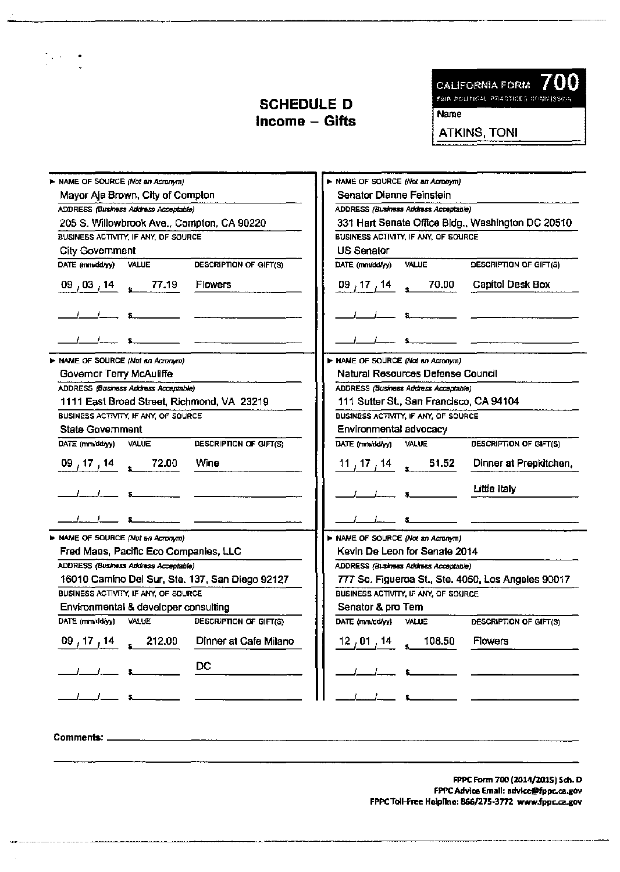$\frac{1}{2}$ 



Name

ATKINS, TONI

| > NAME OF SOURCE (Not an Acronym)                                                     |                               | > NAME OF SOURCE (Not an Acronym)     |                          |                                                    |  |
|---------------------------------------------------------------------------------------|-------------------------------|---------------------------------------|--------------------------|----------------------------------------------------|--|
| Mayor Aja Brown, City of Compton                                                      |                               | Senator Dianne Feinstein              |                          |                                                    |  |
| ADDRESS (Business Address Acceptable)                                                 |                               | ADDRESS (Business Address Acceptable) |                          |                                                    |  |
| 205 S. Willowbrook Ave., Compton, CA 90220                                            |                               |                                       |                          | 331 Hart Senate Office Bldg., Washington DC 20510  |  |
| BUSINESS ACTIVITY, IF ANY, OF SOURCE                                                  |                               | BUSINESS ACTIVITY, IF ANY, OF SOURCE  |                          |                                                    |  |
| <b>City Government</b>                                                                | <b>US Senator</b>             |                                       |                          |                                                    |  |
| DATE (mm/dd/yy) VALUE                                                                 | <b>DESCRIPTION OF GIFT(S)</b> | DATE (mm/dd/yy)<br>VALUE              |                          | DESCRIPTION OF GIFT(S)                             |  |
| $\frac{09}{103}$ , $\frac{14}{108}$ s 77.19<br><b>Flowers</b>                         |                               | 09,17,14 <sub>。</sub> 70.00           |                          | Capitol Desk Box                                   |  |
|                                                                                       |                               |                                       |                          |                                                    |  |
|                                                                                       |                               |                                       |                          |                                                    |  |
| MAME OF SOURCE (Not an Acromm)                                                        |                               | > NAME OF SOURCE (Not an Acronym)     |                          |                                                    |  |
| Governor Terry McAuliffe                                                              |                               | Natural Resources Defense Council     |                          |                                                    |  |
| ADDRESS (Business Address Acceptable)<br>ADDRESS (Business Address Acceptable)        |                               |                                       |                          |                                                    |  |
| 1111 East Broad Street, Richmond, VA 23219<br>111 Sutter St., San Francisco, CA 94104 |                               |                                       |                          |                                                    |  |
| BUSINESS ACTIVITY, IF ANY, OF SOURCE                                                  |                               | BUSINESS ACTIVITY, IF ANY, OF SOURCE  |                          |                                                    |  |
| <b>State Government</b>                                                               |                               | Environmental advocacy                |                          |                                                    |  |
| DATE (mm/dd/yy)<br><b>VALUE</b>                                                       | DESCRIPTION OF GIFT(S)        | DATE (mm/dd/yy)<br>VALUE              |                          | DESCRIPTION OF GIFT(S)                             |  |
| $\frac{09}{17}$ , $\frac{14}{14}$ s 72.00<br>Wine                                     |                               | $11/17/14$ s 51.52                    |                          | Dinner at Prepkitchen,                             |  |
|                                                                                       |                               |                                       | Little Italy             |                                                    |  |
|                                                                                       |                               |                                       |                          |                                                    |  |
| > NAME OF SOURCE (Not an Acronym)                                                     |                               | > NAME OF SOURCE (Not an Acronym)     |                          |                                                    |  |
| Fred Maas, Pacific Eco Companies, LLC                                                 |                               | Kevin De Leon for Senate 2014         |                          |                                                    |  |
| ADDRESS (Business Address Acceptable)                                                 |                               | ADDRESS (Business Address Acceptable) |                          |                                                    |  |
| 16010 Camino Del Sur, Ste. 137, San Diego 92127                                       |                               |                                       |                          | 777 So. Figueroa St., Ste. 4050, Los Angeles 90017 |  |
| BUSINESS ACTIVITY, IF ANY, OF SOURCE                                                  |                               | BUSINESS ACTIVITY, IF ANY, OF SOURCE  |                          |                                                    |  |
| Environmental & developer consulting                                                  |                               | Senator & pro Tem                     |                          |                                                    |  |
| DATE (mm/dd/yy) VALUE                                                                 | DESCRIPTION OF GIFT(S)        | DATE (mm/dd/yy)<br>VALUE              |                          | DESCRIPTION OF GIFT(S)                             |  |
| 212.00<br>09,17,14                                                                    | Dinner at Cafe Milano         | $12$ , 01 , 14                        | 108.50<br><b>Flowers</b> |                                                    |  |
| DC                                                                                    |                               |                                       |                          |                                                    |  |
|                                                                                       |                               |                                       |                          |                                                    |  |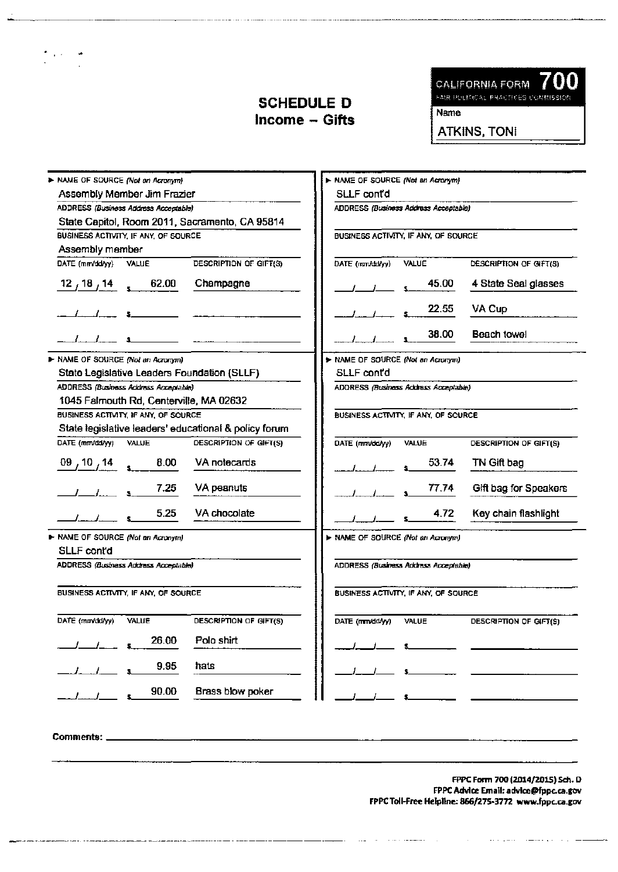

Name

ATKINS, TONI

| > NAME OF SOURCE (Not an Acromm)                      |                        | > NAME OF SOURCE (Not an Acronym) |                                       |                        |
|-------------------------------------------------------|------------------------|-----------------------------------|---------------------------------------|------------------------|
| Assembly Member Jim Frazier                           |                        | SLLF contd                        |                                       |                        |
| ADDRESS (Business Address Acceptable)                 |                        |                                   | ADDRESS (Business Address Acceptable) |                        |
| State Capitol, Room 2011, Sacramento, CA 95814        |                        |                                   |                                       |                        |
| BUSINESS ACTIVITY, IF ANY, OF SOURCE                  |                        |                                   | BUSINESS ACTIVITY, IF ANY, OF SOURCE  |                        |
| Assembly member                                       |                        |                                   |                                       |                        |
| DATE (mm/dd/yy) VALUE                                 | DESCRIPTION OF GIFT(S) | DATE (mm/dd/yy)                   | <b>VALUE</b>                          | DESCRIPTION OF GIFT(S) |
| 62.00<br>$12^{18}$ , 14                               | Champagne              |                                   | 45.00                                 | 4 State Seal glasses   |
|                                                       |                        |                                   | 22.55                                 | VA Cup                 |
|                                                       |                        |                                   | 38.00                                 | Beach towel            |
| > NAME OF SOURCE (Not an Acromm)                      |                        | > NAME OF SOURCE (Not an Acronym) |                                       |                        |
| State Legislative Leaders Foundation (SLLF)           |                        | SLLF contd                        |                                       |                        |
| ADDRESS (Business Address Acceptable)                 |                        |                                   | ADDRESS (Business Address Acceptable) |                        |
| 1045 Falmouth Rd, Centerville, MA 02632               |                        |                                   |                                       |                        |
| BUSINESS ACTIVITY, IF ANY, OF SOURCE                  |                        |                                   | BUSINESS ACTIVITY, IF ANY, OF SOURCE  |                        |
| State legislative leaders' educational & policy forum |                        |                                   |                                       |                        |
| DATE (mm/dd/yy)<br>VALUE                              | DESCRIPTION OF GIFT(S) | DATE (mm/dd/yy)                   | VALUE                                 | DESCRIPTION OF GIFT(S) |
| 8.00<br>09, 10, 14                                    | VA notecards           |                                   | 53.74                                 | TN Gift bag            |
| 7.25                                                  | VA peanuts             |                                   | 77.74                                 | Gift bag for Speakers  |
| 5.25                                                  | VA chocolate           |                                   | 4.72                                  | Key chain flashlight   |
| > NAME OF SOURCE (Not an Acronym)                     |                        | > NAME OF SOURCE (Not an Acronym) |                                       |                        |
| SLLF cont'd                                           |                        |                                   |                                       |                        |
| ADDRESS (Business Address Acceptable)                 |                        |                                   | ADDRESS (Business Address Acceptable) |                        |
| BUSINESS ACTIVITY, IF ANY, OF SOURCE                  |                        |                                   | BUSINESS ACTIVITY, IF ANY, OF SOURCE  |                        |
| DATE (mm/dd/w)<br>VALUE                               | DESCRIPTION OF GIFT(S) | DATE (mm/dd/yy)                   | VALUE                                 | DESCRIPTION OF GIFT(S) |
| 26.00                                                 | Polo shirt             |                                   |                                       |                        |
| 9.95                                                  | hats                   |                                   |                                       |                        |
| 90.00                                                 | Brass blow poker       |                                   |                                       |                        |
|                                                       |                        |                                   |                                       |                        |

Comments: \_

 $\gamma_{\rm{max}}$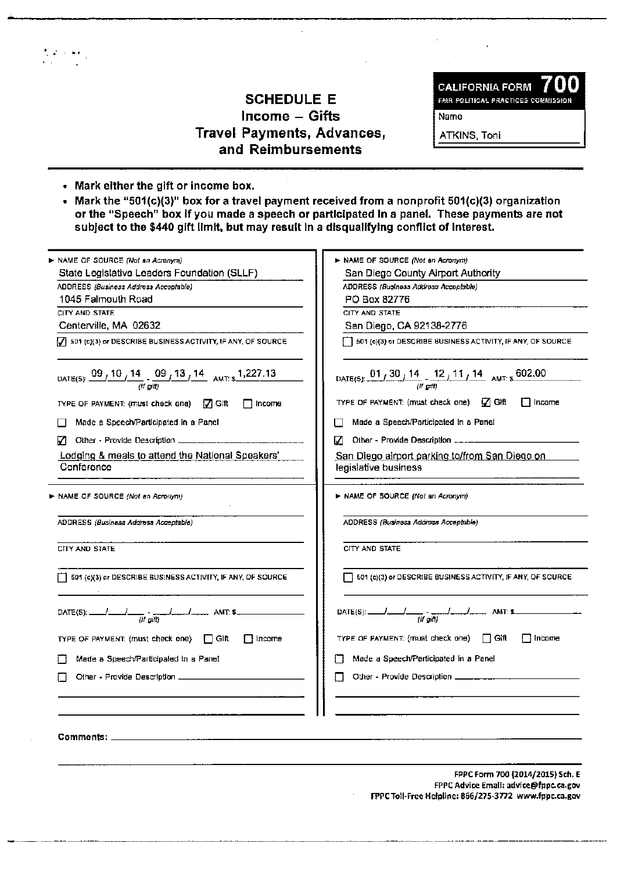# SCHEDULE E Income - Gifts Travel Payments, Advances, and Reimbursements

CALIFORNIA FORM **7 UL**<br>FAIR POLITICAL PRACTICES COMMISSION

Name

ATKINS, Toni

• Mark either the gift or income box.

 $\frac{1}{2}$  ,  $\frac{1}{2}$  ,  $\frac{1}{2}$  ,  $\frac{1}{2}$ 

• Mark the "S01(c)(3)" box for a travel payment received from a nonprofit S01(c)(3) organization or the "Speech" box If you made a speech or participated In a panel. These payments are not subject to the \$440 gift limit, but may result in a disqualifying conflict of interest.

| ► NAME OF SOURCE <i>(Not an Acronym)</i>                                                           | > NAME OF SOURCE (Not an Acronym)                                                                                   |
|----------------------------------------------------------------------------------------------------|---------------------------------------------------------------------------------------------------------------------|
| State Legislative Leaders Foundation (SLLF)                                                        | San Diego County Airport Authority                                                                                  |
| ADDRESS (Business Address Acceptable)                                                              | ADDRESS (Business Address Acceptable)                                                                               |
| 1045 Falmouth Road                                                                                 | PO Box 82776                                                                                                        |
| CITY AND STATE                                                                                     | CITY AND STATE                                                                                                      |
| Centerville, MA 02632                                                                              | San Diego, CA 92138-2776                                                                                            |
| $\mathcal{G}$ 501 (c)(3) or DESCRIBE BUSINESS ACTIVITY, IF ANY, OF SOURCE                          | 501 (c)(3) or DESCRIBE BUSINESS ACTIVITY, IF ANY, OF SOURCE                                                         |
| DATE(S): $\frac{09}{10}$ , 10 / 14 $\frac{09}{10}$ , 13 / 14 AMT: $\frac{1,227.13}{100}$           | DATE(S): $\frac{01}{130}$ $\frac{14}{10}$ $\frac{12}{11}$ $\frac{11}{11}$ $\frac{14}{14}$ AMT $\frac{602.00}{100}$  |
| TYPE OF PAYMENT: (must check one) $\Box$ Gift<br>l Income                                          | TYPE OF PAYMENT: (must check one) $\sqrt{ }$ Gift<br>i ∏lncome                                                      |
| Made a Speech/Participated in a Panel                                                              | Made a Speech/Participated in a Panel                                                                               |
| Other - Provide Description __________                                                             | И                                                                                                                   |
| Lodging & meals to attend the National Speakers'<br>Conference                                     | <u>San Diego alrport parking to/from San Diego on L</u><br>legislative business                                     |
| NAME OF SOURCE (Not an Acronym)                                                                    | > NAME OF SOURCE (Not an Acronym)                                                                                   |
| ADDRESS (Business Address Acceptable)                                                              | ADDRESS (Business Address Acceptable)                                                                               |
| CITY AND STATE                                                                                     | CITY AND STATE                                                                                                      |
| 501 (c)(3) or DESCRIBE BUSINESS ACTIVITY, IF ANY, OF SOURCE                                        | $\overline{\phantom{a}}$ 501 (c)(3) or DESCRIBE BUSINESS ACTIVITY, IF ANY, OF SOURCE                                |
| $\frac{1}{\left(\frac{1}{\mu}\frac{1}{\rho(\theta)}\right)}$ AMT 5<br>$\mathsf{DATE}(\mathsf{S}).$ | $\frac{1}{\left(\frac{1}{2}a\right)}$ and $\frac{1}{\left(\frac{1}{2}a\right)}$ and $\frac{1}{2}$<br>$DATE(S)$ : __ |
| TYPE OF PAYMENT: (must check one) [ GIR<br>∃ Income                                                | TYPE OF PAYMENT: (must check one) $\Box$ Gift<br><b>I</b> Income                                                    |
| Made a Speech/Participated in a Panel                                                              | Made a Speech/Participated in a Panel                                                                               |
| Other - Provide Description                                                                        | Other - Provide Description ___                                                                                     |
|                                                                                                    |                                                                                                                     |
| Comments:                                                                                          |                                                                                                                     |
|                                                                                                    | FPPC Form 700 (2014/2015) Sch. E                                                                                    |
|                                                                                                    | FPPC Advice Email: advice@fppc.ca.gov<br>FPPC Toll-Free Helpline: 866/275-3772 www.fppc.ca.gov                      |